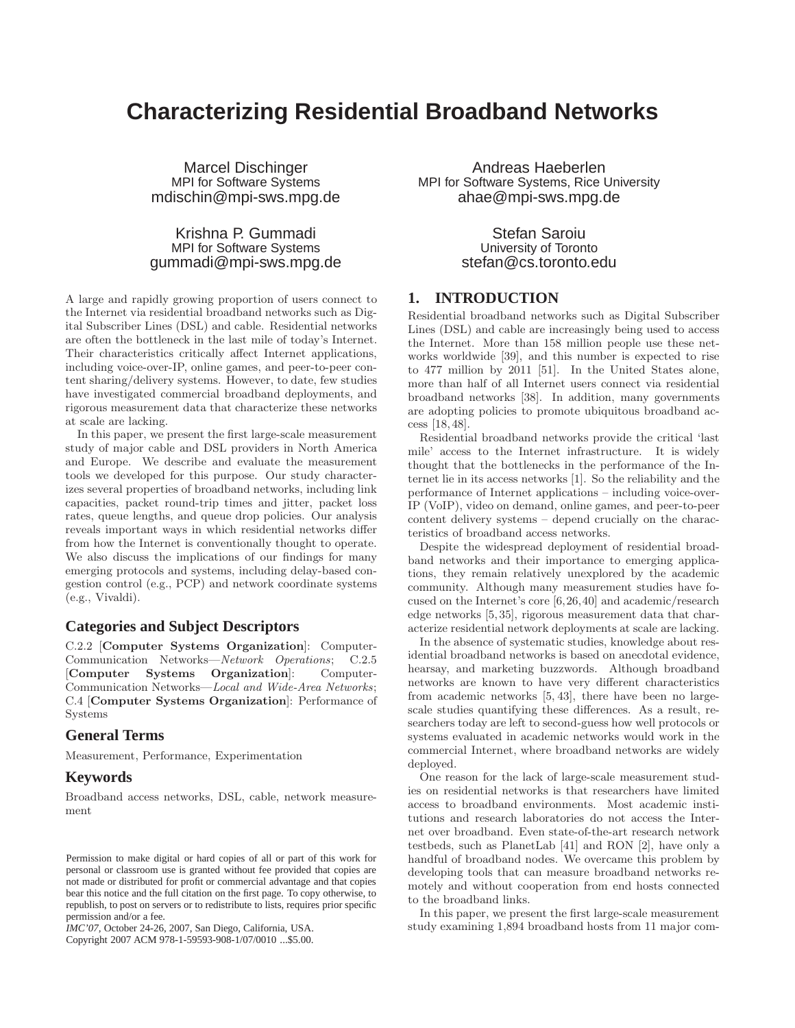# **Characterizing Residential Broadband Networks**

Marcel Dischinger MPI for Software Systems mdischin@mpi-sws.mpg.de

Krishna P. Gummadi MPI for Software Systems gummadi@mpi-sws.mpg.de

A large and rapidly growing proportion of users connect to the Internet via residential broadband networks such as Digital Subscriber Lines (DSL) and cable. Residential networks are often the bottleneck in the last mile of today's Internet. Their characteristics critically affect Internet applications, including voice-over-IP, online games, and peer-to-peer content sharing/delivery systems. However, to date, few studies have investigated commercial broadband deployments, and rigorous measurement data that characterize these networks at scale are lacking.

In this paper, we present the first large-scale measurement study of major cable and DSL providers in North America and Europe. We describe and evaluate the measurement tools we developed for this purpose. Our study characterizes several properties of broadband networks, including link capacities, packet round-trip times and jitter, packet loss rates, queue lengths, and queue drop policies. Our analysis reveals important ways in which residential networks differ from how the Internet is conventionally thought to operate. We also discuss the implications of our findings for many emerging protocols and systems, including delay-based congestion control (e.g., PCP) and network coordinate systems (e.g., Vivaldi).

## **Categories and Subject Descriptors**

C.2.2 [Computer Systems Organization]: Computer-Communication Networks—Network Operations; C.2.5 [Computer Systems Organization]: Computer-Communication Networks—Local and Wide-Area Networks; C.4 [Computer Systems Organization]: Performance of Systems

# **General Terms**

Measurement, Performance, Experimentation

### **Keywords**

Broadband access networks, DSL, cable, network measurement

*IMC'07,* October 24-26, 2007, San Diego, California, USA.

Copyright 2007 ACM 978-1-59593-908-1/07/0010 ...\$5.00.

Andreas Haeberlen MPI for Software Systems, Rice University ahae@mpi-sws.mpg.de

> Stefan Saroiu University of Toronto stefan@cs.toronto.edu

# **1. INTRODUCTION**

Residential broadband networks such as Digital Subscriber Lines (DSL) and cable are increasingly being used to access the Internet. More than 158 million people use these networks worldwide [39], and this number is expected to rise to 477 million by 2011 [51]. In the United States alone, more than half of all Internet users connect via residential broadband networks [38]. In addition, many governments are adopting policies to promote ubiquitous broadband access [18, 48].

Residential broadband networks provide the critical 'last mile' access to the Internet infrastructure. It is widely thought that the bottlenecks in the performance of the Internet lie in its access networks [1]. So the reliability and the performance of Internet applications – including voice-over-IP (VoIP), video on demand, online games, and peer-to-peer content delivery systems – depend crucially on the characteristics of broadband access networks.

Despite the widespread deployment of residential broadband networks and their importance to emerging applications, they remain relatively unexplored by the academic community. Although many measurement studies have focused on the Internet's core [6,26,40] and academic/research edge networks [5, 35], rigorous measurement data that characterize residential network deployments at scale are lacking.

In the absence of systematic studies, knowledge about residential broadband networks is based on anecdotal evidence, hearsay, and marketing buzzwords. Although broadband networks are known to have very different characteristics from academic networks [5, 43], there have been no largescale studies quantifying these differences. As a result, researchers today are left to second-guess how well protocols or systems evaluated in academic networks would work in the commercial Internet, where broadband networks are widely deployed.

One reason for the lack of large-scale measurement studies on residential networks is that researchers have limited access to broadband environments. Most academic institutions and research laboratories do not access the Internet over broadband. Even state-of-the-art research network testbeds, such as PlanetLab [41] and RON [2], have only a handful of broadband nodes. We overcame this problem by developing tools that can measure broadband networks remotely and without cooperation from end hosts connected to the broadband links.

In this paper, we present the first large-scale measurement study examining 1,894 broadband hosts from 11 major com-

Permission to make digital or hard copies of all or part of this work for personal or classroom use is granted without fee provided that copies are not made or distributed for profit or commercial advantage and that copies bear this notice and the full citation on the first page. To copy otherwise, to republish, to post on servers or to redistribute to lists, requires prior specific permission and/or a fee.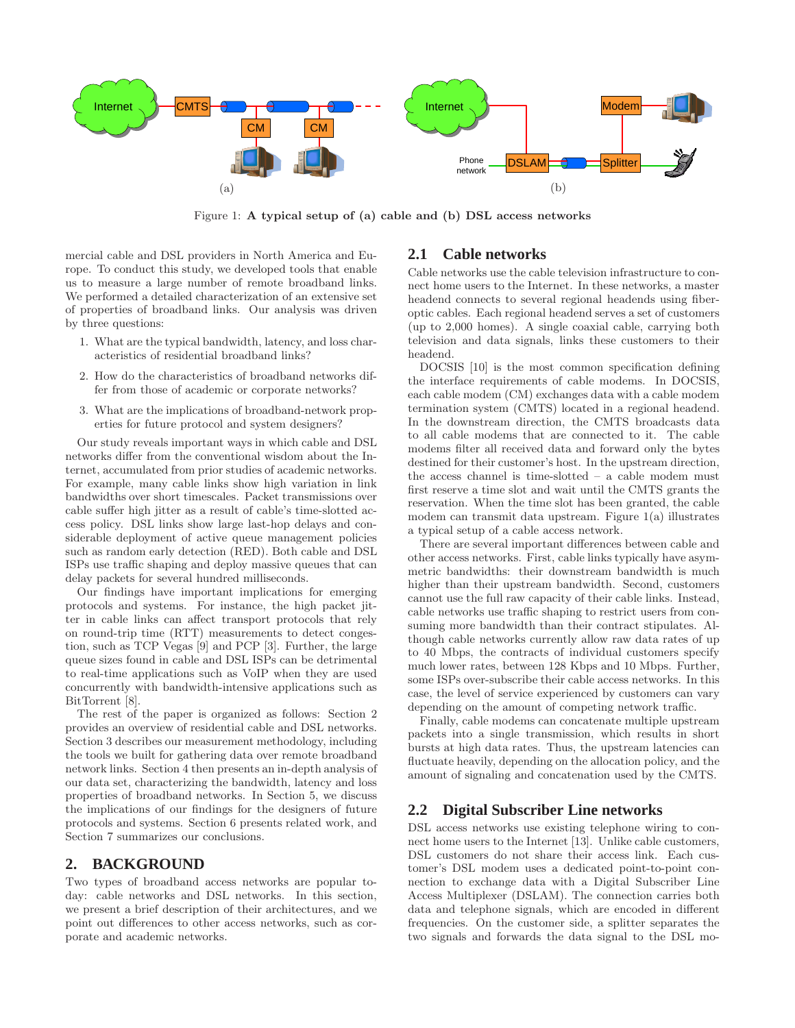

Figure 1: A typical setup of (a) cable and (b) DSL access networks

mercial cable and DSL providers in North America and Europe. To conduct this study, we developed tools that enable us to measure a large number of remote broadband links. We performed a detailed characterization of an extensive set of properties of broadband links. Our analysis was driven by three questions:

- 1. What are the typical bandwidth, latency, and loss characteristics of residential broadband links?
- 2. How do the characteristics of broadband networks differ from those of academic or corporate networks?
- 3. What are the implications of broadband-network properties for future protocol and system designers?

Our study reveals important ways in which cable and DSL networks differ from the conventional wisdom about the Internet, accumulated from prior studies of academic networks. For example, many cable links show high variation in link bandwidths over short timescales. Packet transmissions over cable suffer high jitter as a result of cable's time-slotted access policy. DSL links show large last-hop delays and considerable deployment of active queue management policies such as random early detection (RED). Both cable and DSL ISPs use traffic shaping and deploy massive queues that can delay packets for several hundred milliseconds.

Our findings have important implications for emerging protocols and systems. For instance, the high packet jitter in cable links can affect transport protocols that rely on round-trip time (RTT) measurements to detect congestion, such as TCP Vegas [9] and PCP [3]. Further, the large queue sizes found in cable and DSL ISPs can be detrimental to real-time applications such as VoIP when they are used concurrently with bandwidth-intensive applications such as BitTorrent [8].

The rest of the paper is organized as follows: Section 2 provides an overview of residential cable and DSL networks. Section 3 describes our measurement methodology, including the tools we built for gathering data over remote broadband network links. Section 4 then presents an in-depth analysis of our data set, characterizing the bandwidth, latency and loss properties of broadband networks. In Section 5, we discuss the implications of our findings for the designers of future protocols and systems. Section 6 presents related work, and Section 7 summarizes our conclusions.

# **2. BACKGROUND**

Two types of broadband access networks are popular today: cable networks and DSL networks. In this section, we present a brief description of their architectures, and we point out differences to other access networks, such as corporate and academic networks.

# **2.1 Cable networks**

Cable networks use the cable television infrastructure to connect home users to the Internet. In these networks, a master headend connects to several regional headends using fiberoptic cables. Each regional headend serves a set of customers (up to 2,000 homes). A single coaxial cable, carrying both television and data signals, links these customers to their headend.

DOCSIS [10] is the most common specification defining the interface requirements of cable modems. In DOCSIS, each cable modem (CM) exchanges data with a cable modem termination system (CMTS) located in a regional headend. In the downstream direction, the CMTS broadcasts data to all cable modems that are connected to it. The cable modems filter all received data and forward only the bytes destined for their customer's host. In the upstream direction, the access channel is time-slotted – a cable modem must first reserve a time slot and wait until the CMTS grants the reservation. When the time slot has been granted, the cable modem can transmit data upstream. Figure 1(a) illustrates a typical setup of a cable access network.

There are several important differences between cable and other access networks. First, cable links typically have asymmetric bandwidths: their downstream bandwidth is much higher than their upstream bandwidth. Second, customers cannot use the full raw capacity of their cable links. Instead, cable networks use traffic shaping to restrict users from consuming more bandwidth than their contract stipulates. Although cable networks currently allow raw data rates of up to 40 Mbps, the contracts of individual customers specify much lower rates, between 128 Kbps and 10 Mbps. Further, some ISPs over-subscribe their cable access networks. In this case, the level of service experienced by customers can vary depending on the amount of competing network traffic.

Finally, cable modems can concatenate multiple upstream packets into a single transmission, which results in short bursts at high data rates. Thus, the upstream latencies can fluctuate heavily, depending on the allocation policy, and the amount of signaling and concatenation used by the CMTS.

### **2.2 Digital Subscriber Line networks**

DSL access networks use existing telephone wiring to connect home users to the Internet [13]. Unlike cable customers, DSL customers do not share their access link. Each customer's DSL modem uses a dedicated point-to-point connection to exchange data with a Digital Subscriber Line Access Multiplexer (DSLAM). The connection carries both data and telephone signals, which are encoded in different frequencies. On the customer side, a splitter separates the two signals and forwards the data signal to the DSL mo-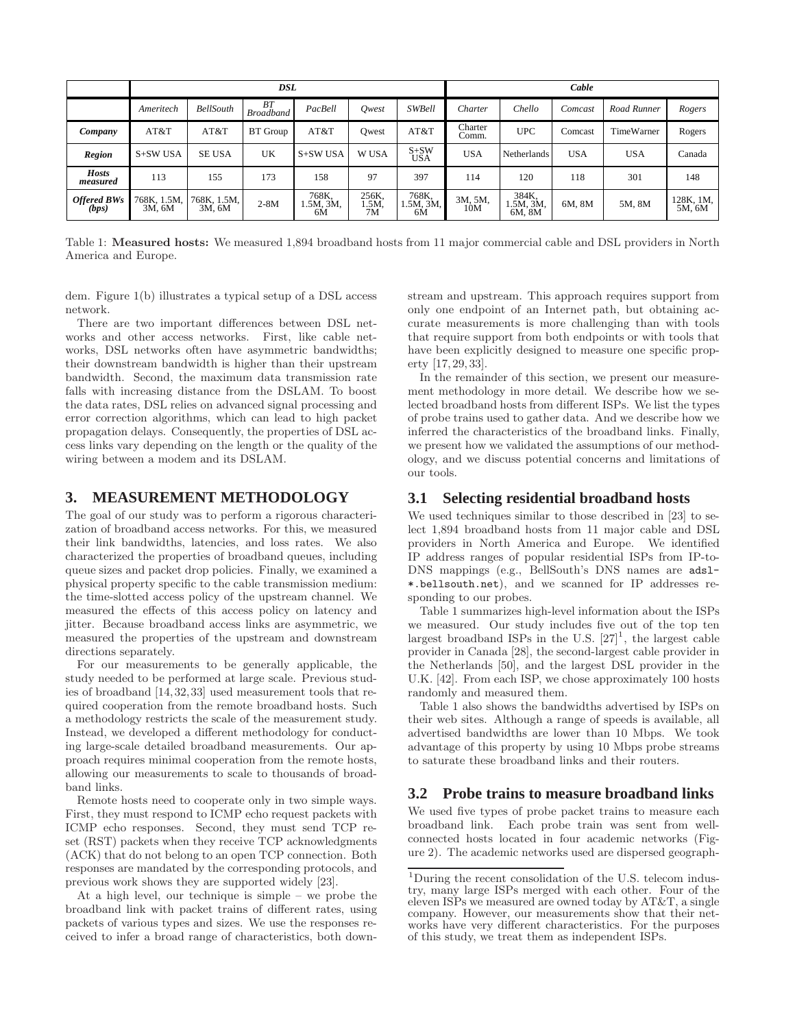|                          | DSL                   |                       |                        |                          |                      |                          | Cable            |                             |            |             |                     |
|--------------------------|-----------------------|-----------------------|------------------------|--------------------------|----------------------|--------------------------|------------------|-----------------------------|------------|-------------|---------------------|
|                          | Ameritech             | <b>BellSouth</b>      | BT<br><b>Broadband</b> | PacBell                  | Owest                | <b>SWBell</b>            | Charter          | Chello                      | Comcast    | Road Runner | Rogers              |
| Company                  | AT&T                  | AT&T                  | BT Group               | AT&T                     | Owest                | AT&T                     | Charter<br>Comm. | <b>UPC</b>                  | Comcast    | TimeWarner  | Rogers              |
| <b>Region</b>            | S+SW USA              | <b>SE USA</b>         | UK                     | S+SW USA                 | W USA                | $S + SW$<br><b>USA</b>   | <b>USA</b>       | Netherlands                 | <b>USA</b> | <b>USA</b>  | Canada              |
| <b>Hosts</b><br>measured | 113                   | 155                   | 173                    | 158                      | 97                   | 397                      | 114              | 120                         | 118        | 301         | 148                 |
| Offered BWs<br>(bps)     | 768K, 1.5M,<br>3M, 6M | 768K, 1.5M,<br>3M, 6M | $2-8M$                 | 768K,<br>1.5M, 3M,<br>6M | 256K,<br>1.5M,<br>7M | 768K,<br>1.5M, 3M,<br>6M | 3M, 5M,<br>10M   | 384K,<br>1.5M, 3M,<br>6M.8M | 6M, 8M     | 5M, 8M      | 128K, 1M,<br>5M, 6M |

Table 1: Measured hosts: We measured 1,894 broadband hosts from 11 major commercial cable and DSL providers in North America and Europe.

dem. Figure 1(b) illustrates a typical setup of a DSL access network.

There are two important differences between DSL networks and other access networks. First, like cable networks, DSL networks often have asymmetric bandwidths; their downstream bandwidth is higher than their upstream bandwidth. Second, the maximum data transmission rate falls with increasing distance from the DSLAM. To boost the data rates, DSL relies on advanced signal processing and error correction algorithms, which can lead to high packet propagation delays. Consequently, the properties of DSL access links vary depending on the length or the quality of the wiring between a modem and its DSLAM.

### **3. MEASUREMENT METHODOLOGY**

The goal of our study was to perform a rigorous characterization of broadband access networks. For this, we measured their link bandwidths, latencies, and loss rates. We also characterized the properties of broadband queues, including queue sizes and packet drop policies. Finally, we examined a physical property specific to the cable transmission medium: the time-slotted access policy of the upstream channel. We measured the effects of this access policy on latency and jitter. Because broadband access links are asymmetric, we measured the properties of the upstream and downstream directions separately.

For our measurements to be generally applicable, the study needed to be performed at large scale. Previous studies of broadband [14,32,33] used measurement tools that required cooperation from the remote broadband hosts. Such a methodology restricts the scale of the measurement study. Instead, we developed a different methodology for conducting large-scale detailed broadband measurements. Our approach requires minimal cooperation from the remote hosts, allowing our measurements to scale to thousands of broadband links.

Remote hosts need to cooperate only in two simple ways. First, they must respond to ICMP echo request packets with ICMP echo responses. Second, they must send TCP reset (RST) packets when they receive TCP acknowledgments (ACK) that do not belong to an open TCP connection. Both responses are mandated by the corresponding protocols, and previous work shows they are supported widely [23].

At a high level, our technique is simple – we probe the broadband link with packet trains of different rates, using packets of various types and sizes. We use the responses received to infer a broad range of characteristics, both downstream and upstream. This approach requires support from only one endpoint of an Internet path, but obtaining accurate measurements is more challenging than with tools that require support from both endpoints or with tools that have been explicitly designed to measure one specific property [17, 29, 33].

In the remainder of this section, we present our measurement methodology in more detail. We describe how we selected broadband hosts from different ISPs. We list the types of probe trains used to gather data. And we describe how we inferred the characteristics of the broadband links. Finally, we present how we validated the assumptions of our methodology, and we discuss potential concerns and limitations of our tools.

## **3.1 Selecting residential broadband hosts**

We used techniques similar to those described in [23] to select 1,894 broadband hosts from 11 major cable and DSL providers in North America and Europe. We identified IP address ranges of popular residential ISPs from IP-to-DNS mappings (e.g., BellSouth's DNS names are adsl- \*.bellsouth.net), and we scanned for IP addresses responding to our probes.

Table 1 summarizes high-level information about the ISPs we measured. Our study includes five out of the top ten largest broadband ISPs in the U.S.  $[27]^1$ , the largest cable provider in Canada [28], the second-largest cable provider in the Netherlands [50], and the largest DSL provider in the U.K. [42]. From each ISP, we chose approximately 100 hosts randomly and measured them.

Table 1 also shows the bandwidths advertised by ISPs on their web sites. Although a range of speeds is available, all advertised bandwidths are lower than 10 Mbps. We took advantage of this property by using 10 Mbps probe streams to saturate these broadband links and their routers.

### **3.2 Probe trains to measure broadband links**

We used five types of probe packet trains to measure each broadband link. Each probe train was sent from wellconnected hosts located in four academic networks (Figure 2). The academic networks used are dispersed geograph-

<sup>&</sup>lt;sup>1</sup>During the recent consolidation of the U.S. telecom industry, many large ISPs merged with each other. Four of the eleven ISPs we measured are owned today by AT&T, a single company. However, our measurements show that their networks have very different characteristics. For the purposes of this study, we treat them as independent ISPs.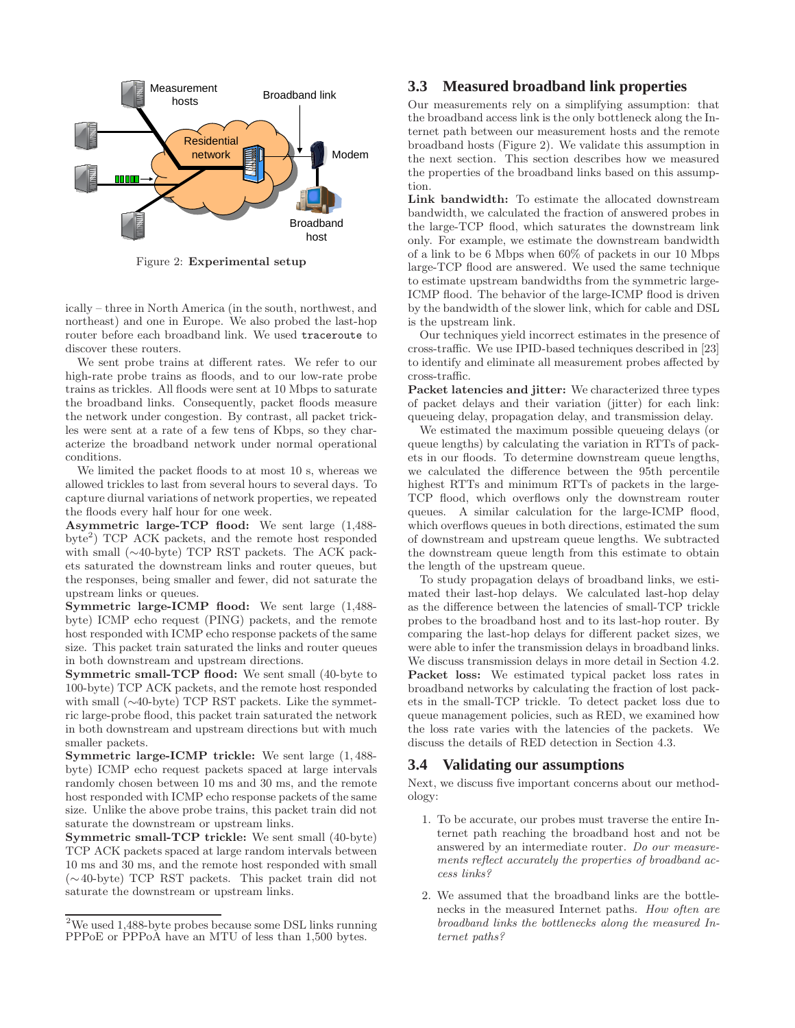

Figure 2: Experimental setup

ically – three in North America (in the south, northwest, and northeast) and one in Europe. We also probed the last-hop router before each broadband link. We used traceroute to discover these routers.

We sent probe trains at different rates. We refer to our high-rate probe trains as floods, and to our low-rate probe trains as trickles. All floods were sent at 10 Mbps to saturate the broadband links. Consequently, packet floods measure the network under congestion. By contrast, all packet trickles were sent at a rate of a few tens of Kbps, so they characterize the broadband network under normal operational conditions.

We limited the packet floods to at most 10 s, whereas we allowed trickles to last from several hours to several days. To capture diurnal variations of network properties, we repeated the floods every half hour for one week.

Asymmetric large-TCP flood: We sent large (1,488 byte<sup>2</sup>) TCP ACK packets, and the remote host responded with small (∼40-byte) TCP RST packets. The ACK packets saturated the downstream links and router queues, but the responses, being smaller and fewer, did not saturate the upstream links or queues.

Symmetric large-ICMP flood: We sent large  $(1,488$ byte) ICMP echo request (PING) packets, and the remote host responded with ICMP echo response packets of the same size. This packet train saturated the links and router queues in both downstream and upstream directions.

Symmetric small-TCP flood: We sent small (40-byte to 100-byte) TCP ACK packets, and the remote host responded with small (∼40-byte) TCP RST packets. Like the symmetric large-probe flood, this packet train saturated the network in both downstream and upstream directions but with much smaller packets.

Symmetric large-ICMP trickle: We sent large (1, 488 byte) ICMP echo request packets spaced at large intervals randomly chosen between 10 ms and 30 ms, and the remote host responded with ICMP echo response packets of the same size. Unlike the above probe trains, this packet train did not saturate the downstream or upstream links.

Symmetric small-TCP trickle: We sent small (40-byte) TCP ACK packets spaced at large random intervals between 10 ms and 30 ms, and the remote host responded with small (∼40-byte) TCP RST packets. This packet train did not saturate the downstream or upstream links.

# **3.3 Measured broadband link properties**

Our measurements rely on a simplifying assumption: that the broadband access link is the only bottleneck along the Internet path between our measurement hosts and the remote broadband hosts (Figure 2). We validate this assumption in the next section. This section describes how we measured the properties of the broadband links based on this assumption.

Link bandwidth: To estimate the allocated downstream bandwidth, we calculated the fraction of answered probes in the large-TCP flood, which saturates the downstream link only. For example, we estimate the downstream bandwidth of a link to be 6 Mbps when 60% of packets in our 10 Mbps large-TCP flood are answered. We used the same technique to estimate upstream bandwidths from the symmetric large-ICMP flood. The behavior of the large-ICMP flood is driven by the bandwidth of the slower link, which for cable and DSL is the upstream link.

Our techniques yield incorrect estimates in the presence of cross-traffic. We use IPID-based techniques described in [23] to identify and eliminate all measurement probes affected by cross-traffic.

Packet latencies and jitter: We characterized three types of packet delays and their variation (jitter) for each link: queueing delay, propagation delay, and transmission delay.

We estimated the maximum possible queueing delays (or queue lengths) by calculating the variation in RTTs of packets in our floods. To determine downstream queue lengths, we calculated the difference between the 95th percentile highest RTTs and minimum RTTs of packets in the large-TCP flood, which overflows only the downstream router queues. A similar calculation for the large-ICMP flood, which overflows queues in both directions, estimated the sum of downstream and upstream queue lengths. We subtracted the downstream queue length from this estimate to obtain the length of the upstream queue.

To study propagation delays of broadband links, we estimated their last-hop delays. We calculated last-hop delay as the difference between the latencies of small-TCP trickle probes to the broadband host and to its last-hop router. By comparing the last-hop delays for different packet sizes, we were able to infer the transmission delays in broadband links. We discuss transmission delays in more detail in Section 4.2. Packet loss: We estimated typical packet loss rates in broadband networks by calculating the fraction of lost packets in the small-TCP trickle. To detect packet loss due to queue management policies, such as RED, we examined how the loss rate varies with the latencies of the packets. We discuss the details of RED detection in Section 4.3.

### **3.4 Validating our assumptions**

Next, we discuss five important concerns about our methodology:

- 1. To be accurate, our probes must traverse the entire Internet path reaching the broadband host and not be answered by an intermediate router. Do our measurements reflect accurately the properties of broadband access links?
- 2. We assumed that the broadband links are the bottlenecks in the measured Internet paths. How often are broadband links the bottlenecks along the measured Internet paths?

<sup>2</sup>We used 1,488-byte probes because some DSL links running PPPoE or PPPoA have an MTU of less than 1,500 bytes.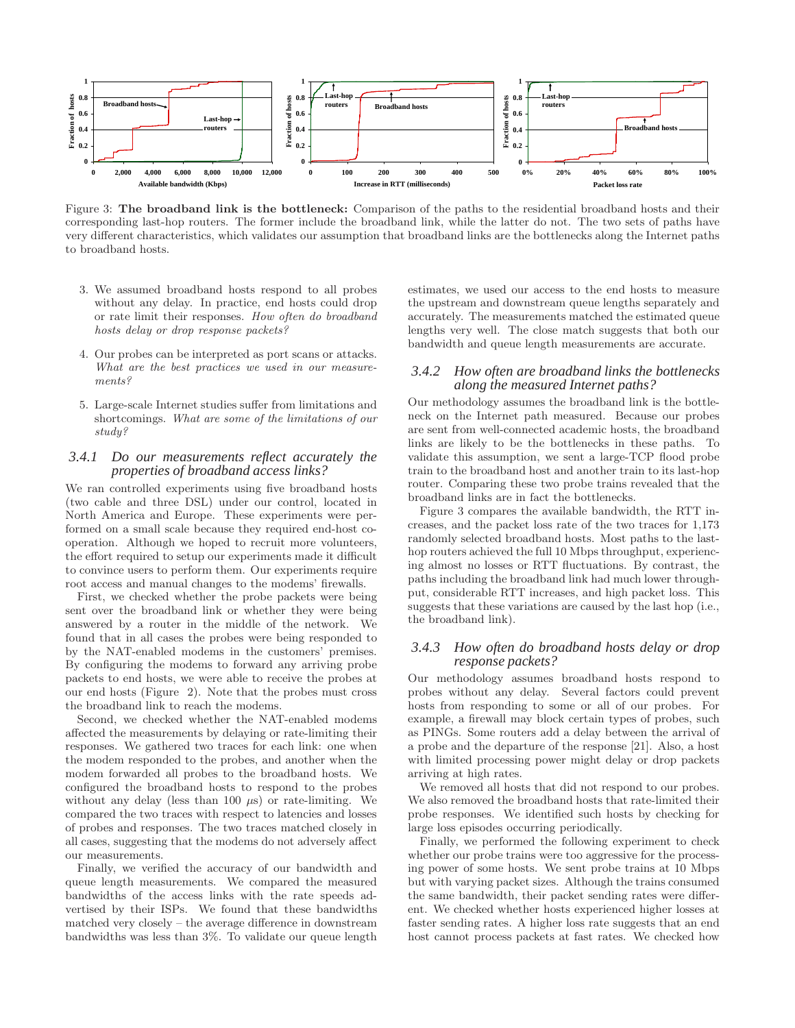

Figure 3: The broadband link is the bottleneck: Comparison of the paths to the residential broadband hosts and their corresponding last-hop routers. The former include the broadband link, while the latter do not. The two sets of paths have very different characteristics, which validates our assumption that broadband links are the bottlenecks along the Internet paths to broadband hosts.

- 3. We assumed broadband hosts respond to all probes without any delay. In practice, end hosts could drop or rate limit their responses. How often do broadband hosts delay or drop response packets?
- 4. Our probes can be interpreted as port scans or attacks. What are the best practices we used in our measurements?
- 5. Large-scale Internet studies suffer from limitations and shortcomings. What are some of the limitations of our study?

#### *3.4.1 Do our measurements reflect accurately the properties of broadband access links?*

We ran controlled experiments using five broadband hosts (two cable and three DSL) under our control, located in North America and Europe. These experiments were performed on a small scale because they required end-host cooperation. Although we hoped to recruit more volunteers, the effort required to setup our experiments made it difficult to convince users to perform them. Our experiments require root access and manual changes to the modems' firewalls.

First, we checked whether the probe packets were being sent over the broadband link or whether they were being answered by a router in the middle of the network. We found that in all cases the probes were being responded to by the NAT-enabled modems in the customers' premises. By configuring the modems to forward any arriving probe packets to end hosts, we were able to receive the probes at our end hosts (Figure 2). Note that the probes must cross the broadband link to reach the modems.

Second, we checked whether the NAT-enabled modems affected the measurements by delaying or rate-limiting their responses. We gathered two traces for each link: one when the modem responded to the probes, and another when the modem forwarded all probes to the broadband hosts. We configured the broadband hosts to respond to the probes without any delay (less than 100  $\mu$ s) or rate-limiting. We compared the two traces with respect to latencies and losses of probes and responses. The two traces matched closely in all cases, suggesting that the modems do not adversely affect our measurements.

Finally, we verified the accuracy of our bandwidth and queue length measurements. We compared the measured bandwidths of the access links with the rate speeds advertised by their ISPs. We found that these bandwidths matched very closely – the average difference in downstream bandwidths was less than 3%. To validate our queue length estimates, we used our access to the end hosts to measure the upstream and downstream queue lengths separately and accurately. The measurements matched the estimated queue lengths very well. The close match suggests that both our bandwidth and queue length measurements are accurate.

## *3.4.2 How often are broadband links the bottlenecks along the measured Internet paths?*

Our methodology assumes the broadband link is the bottleneck on the Internet path measured. Because our probes are sent from well-connected academic hosts, the broadband links are likely to be the bottlenecks in these paths. To validate this assumption, we sent a large-TCP flood probe train to the broadband host and another train to its last-hop router. Comparing these two probe trains revealed that the broadband links are in fact the bottlenecks.

Figure 3 compares the available bandwidth, the RTT increases, and the packet loss rate of the two traces for 1,173 randomly selected broadband hosts. Most paths to the lasthop routers achieved the full 10 Mbps throughput, experiencing almost no losses or RTT fluctuations. By contrast, the paths including the broadband link had much lower throughput, considerable RTT increases, and high packet loss. This suggests that these variations are caused by the last hop (i.e., the broadband link).

#### *3.4.3 How often do broadband hosts delay or drop response packets?*

Our methodology assumes broadband hosts respond to probes without any delay. Several factors could prevent hosts from responding to some or all of our probes. For example, a firewall may block certain types of probes, such as PINGs. Some routers add a delay between the arrival of a probe and the departure of the response [21]. Also, a host with limited processing power might delay or drop packets arriving at high rates.

We removed all hosts that did not respond to our probes. We also removed the broadband hosts that rate-limited their probe responses. We identified such hosts by checking for large loss episodes occurring periodically.

Finally, we performed the following experiment to check whether our probe trains were too aggressive for the processing power of some hosts. We sent probe trains at 10 Mbps but with varying packet sizes. Although the trains consumed the same bandwidth, their packet sending rates were different. We checked whether hosts experienced higher losses at faster sending rates. A higher loss rate suggests that an end host cannot process packets at fast rates. We checked how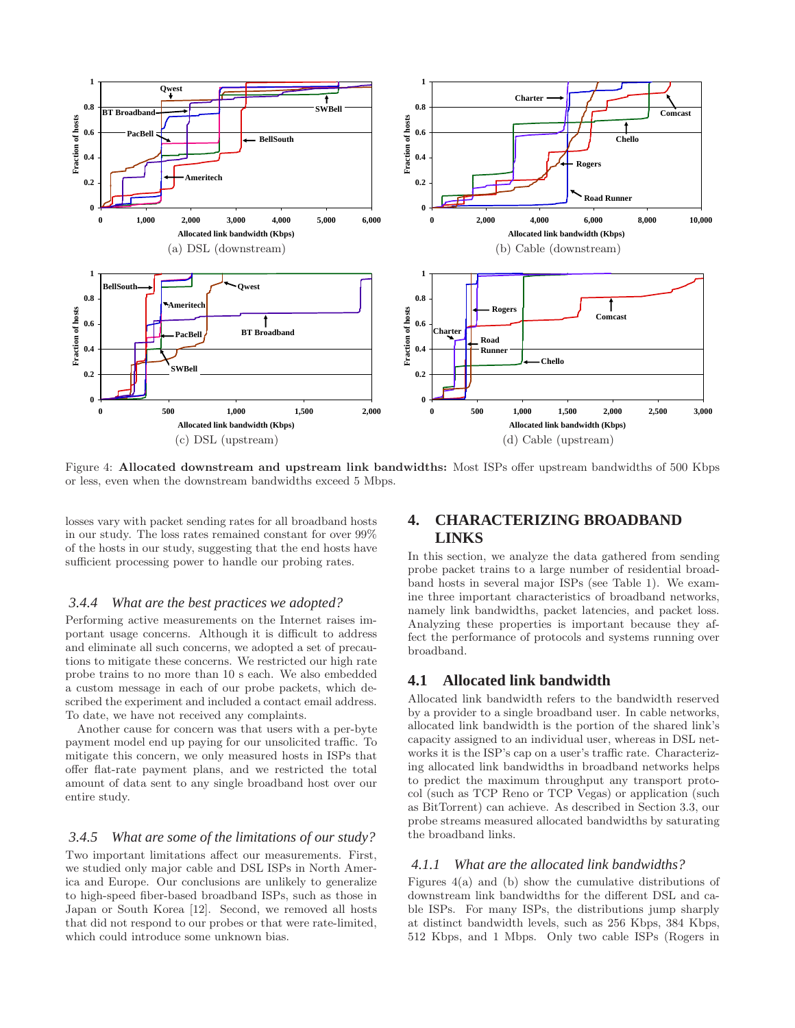

Figure 4: Allocated downstream and upstream link bandwidths: Most ISPs offer upstream bandwidths of 500 Kbps or less, even when the downstream bandwidths exceed 5 Mbps.

losses vary with packet sending rates for all broadband hosts in our study. The loss rates remained constant for over 99% of the hosts in our study, suggesting that the end hosts have sufficient processing power to handle our probing rates.

#### *3.4.4 What are the best practices we adopted?*

Performing active measurements on the Internet raises important usage concerns. Although it is difficult to address and eliminate all such concerns, we adopted a set of precautions to mitigate these concerns. We restricted our high rate probe trains to no more than 10 s each. We also embedded a custom message in each of our probe packets, which described the experiment and included a contact email address. To date, we have not received any complaints.

Another cause for concern was that users with a per-byte payment model end up paying for our unsolicited traffic. To mitigate this concern, we only measured hosts in ISPs that offer flat-rate payment plans, and we restricted the total amount of data sent to any single broadband host over our entire study.

# *3.4.5 What are some of the limitations of our study?*

Two important limitations affect our measurements. First, we studied only major cable and DSL ISPs in North America and Europe. Our conclusions are unlikely to generalize to high-speed fiber-based broadband ISPs, such as those in Japan or South Korea [12]. Second, we removed all hosts that did not respond to our probes or that were rate-limited, which could introduce some unknown bias.

# **4. CHARACTERIZING BROADBAND LINKS**

In this section, we analyze the data gathered from sending probe packet trains to a large number of residential broadband hosts in several major ISPs (see Table 1). We examine three important characteristics of broadband networks, namely link bandwidths, packet latencies, and packet loss. Analyzing these properties is important because they affect the performance of protocols and systems running over broadband.

# **4.1 Allocated link bandwidth**

Allocated link bandwidth refers to the bandwidth reserved by a provider to a single broadband user. In cable networks, allocated link bandwidth is the portion of the shared link's capacity assigned to an individual user, whereas in DSL networks it is the ISP's cap on a user's traffic rate. Characterizing allocated link bandwidths in broadband networks helps to predict the maximum throughput any transport protocol (such as TCP Reno or TCP Vegas) or application (such as BitTorrent) can achieve. As described in Section 3.3, our probe streams measured allocated bandwidths by saturating the broadband links.

## *4.1.1 What are the allocated link bandwidths?*

Figures 4(a) and (b) show the cumulative distributions of downstream link bandwidths for the different DSL and cable ISPs. For many ISPs, the distributions jump sharply at distinct bandwidth levels, such as 256 Kbps, 384 Kbps, 512 Kbps, and 1 Mbps. Only two cable ISPs (Rogers in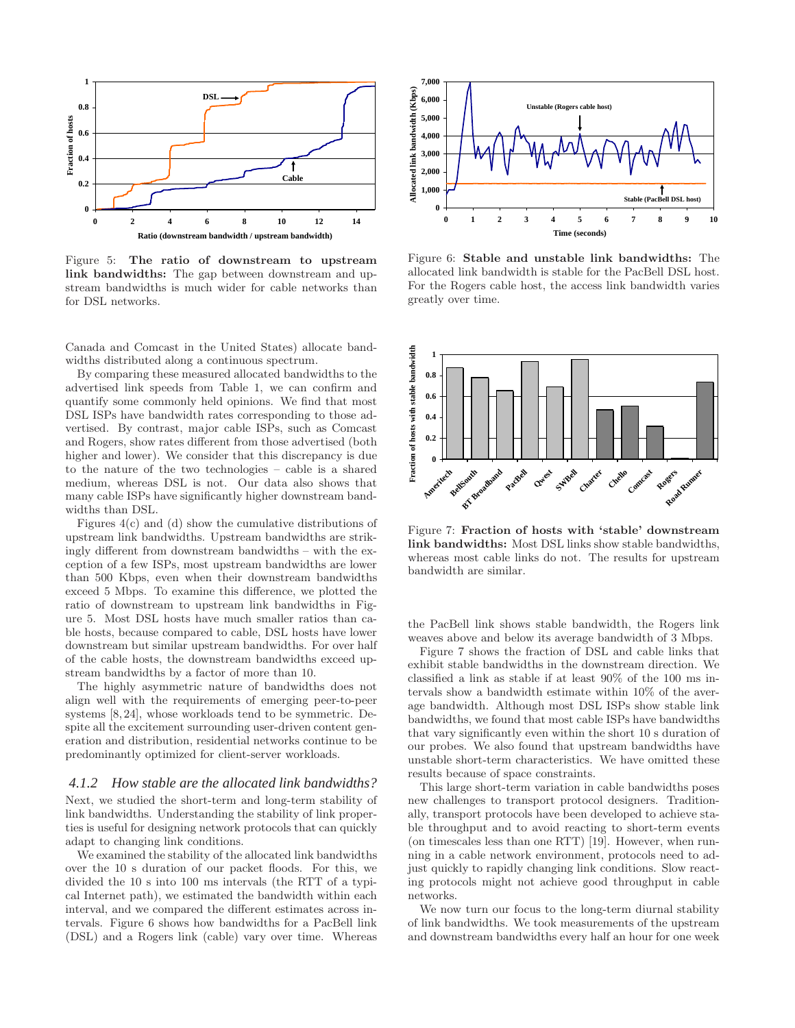

Figure 5: The ratio of downstream to upstream link bandwidths: The gap between downstream and upstream bandwidths is much wider for cable networks than for DSL networks.

Canada and Comcast in the United States) allocate bandwidths distributed along a continuous spectrum.

By comparing these measured allocated bandwidths to the advertised link speeds from Table 1, we can confirm and quantify some commonly held opinions. We find that most DSL ISPs have bandwidth rates corresponding to those advertised. By contrast, major cable ISPs, such as Comcast and Rogers, show rates different from those advertised (both higher and lower). We consider that this discrepancy is due to the nature of the two technologies – cable is a shared medium, whereas DSL is not. Our data also shows that many cable ISPs have significantly higher downstream bandwidths than DSL.

Figures 4(c) and (d) show the cumulative distributions of upstream link bandwidths. Upstream bandwidths are strikingly different from downstream bandwidths – with the exception of a few ISPs, most upstream bandwidths are lower than 500 Kbps, even when their downstream bandwidths exceed 5 Mbps. To examine this difference, we plotted the ratio of downstream to upstream link bandwidths in Figure 5. Most DSL hosts have much smaller ratios than cable hosts, because compared to cable, DSL hosts have lower downstream but similar upstream bandwidths. For over half of the cable hosts, the downstream bandwidths exceed upstream bandwidths by a factor of more than 10.

The highly asymmetric nature of bandwidths does not align well with the requirements of emerging peer-to-peer systems [8, 24], whose workloads tend to be symmetric. Despite all the excitement surrounding user-driven content generation and distribution, residential networks continue to be predominantly optimized for client-server workloads.

#### *4.1.2 How stable are the allocated link bandwidths?*

Next, we studied the short-term and long-term stability of link bandwidths. Understanding the stability of link properties is useful for designing network protocols that can quickly adapt to changing link conditions.

We examined the stability of the allocated link bandwidths over the 10 s duration of our packet floods. For this, we divided the 10 s into 100 ms intervals (the RTT of a typical Internet path), we estimated the bandwidth within each interval, and we compared the different estimates across intervals. Figure 6 shows how bandwidths for a PacBell link (DSL) and a Rogers link (cable) vary over time. Whereas



Figure 6: Stable and unstable link bandwidths: The allocated link bandwidth is stable for the PacBell DSL host. For the Rogers cable host, the access link bandwidth varies greatly over time.



Figure 7: Fraction of hosts with 'stable' downstream link bandwidths: Most DSL links show stable bandwidths, whereas most cable links do not. The results for upstream bandwidth are similar.

the PacBell link shows stable bandwidth, the Rogers link weaves above and below its average bandwidth of 3 Mbps.

Figure 7 shows the fraction of DSL and cable links that exhibit stable bandwidths in the downstream direction. We classified a link as stable if at least 90% of the 100 ms intervals show a bandwidth estimate within 10% of the average bandwidth. Although most DSL ISPs show stable link bandwidths, we found that most cable ISPs have bandwidths that vary significantly even within the short 10 s duration of our probes. We also found that upstream bandwidths have unstable short-term characteristics. We have omitted these results because of space constraints.

This large short-term variation in cable bandwidths poses new challenges to transport protocol designers. Traditionally, transport protocols have been developed to achieve stable throughput and to avoid reacting to short-term events (on timescales less than one RTT) [19]. However, when running in a cable network environment, protocols need to adjust quickly to rapidly changing link conditions. Slow reacting protocols might not achieve good throughput in cable networks.

We now turn our focus to the long-term diurnal stability of link bandwidths. We took measurements of the upstream and downstream bandwidths every half an hour for one week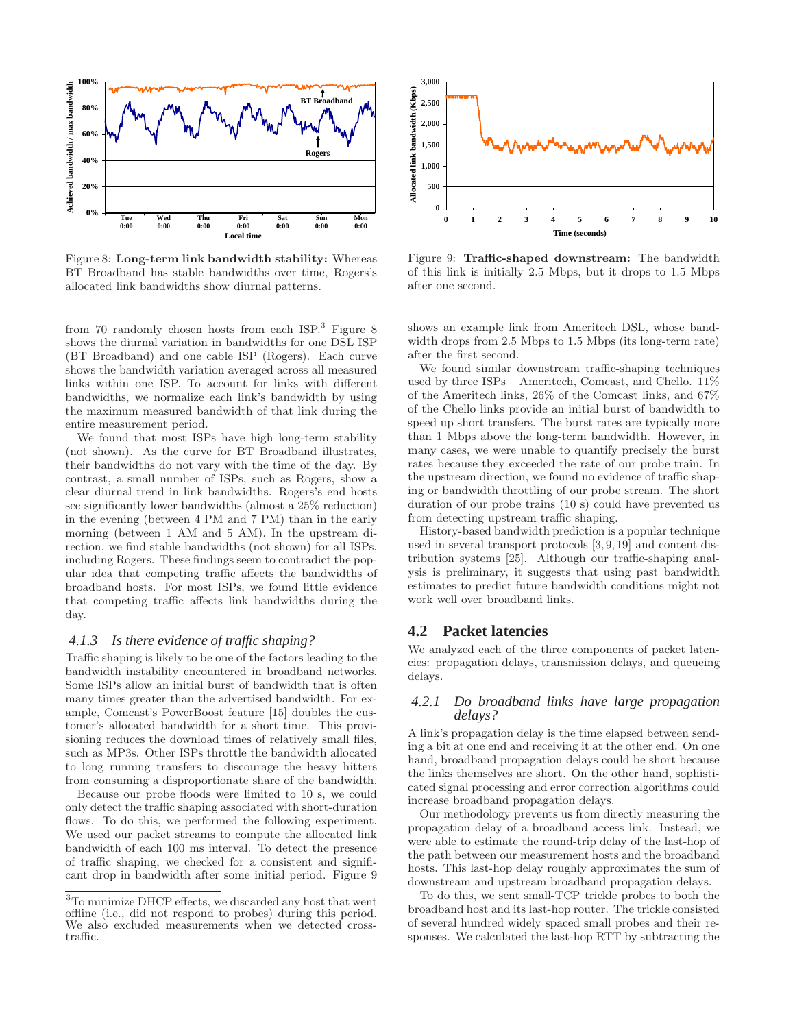

Figure 8: Long-term link bandwidth stability: Whereas BT Broadband has stable bandwidths over time, Rogers's allocated link bandwidths show diurnal patterns.

from 70 randomly chosen hosts from each ISP.<sup>3</sup> Figure 8 shows the diurnal variation in bandwidths for one DSL ISP (BT Broadband) and one cable ISP (Rogers). Each curve shows the bandwidth variation averaged across all measured links within one ISP. To account for links with different bandwidths, we normalize each link's bandwidth by using the maximum measured bandwidth of that link during the entire measurement period.

We found that most ISPs have high long-term stability (not shown). As the curve for BT Broadband illustrates, their bandwidths do not vary with the time of the day. By contrast, a small number of ISPs, such as Rogers, show a clear diurnal trend in link bandwidths. Rogers's end hosts see significantly lower bandwidths (almost a 25% reduction) in the evening (between 4 PM and 7 PM) than in the early morning (between 1 AM and 5 AM). In the upstream direction, we find stable bandwidths (not shown) for all ISPs, including Rogers. These findings seem to contradict the popular idea that competing traffic affects the bandwidths of broadband hosts. For most ISPs, we found little evidence that competing traffic affects link bandwidths during the day.

#### *4.1.3 Is there evidence of traffic shaping?*

Traffic shaping is likely to be one of the factors leading to the bandwidth instability encountered in broadband networks. Some ISPs allow an initial burst of bandwidth that is often many times greater than the advertised bandwidth. For example, Comcast's PowerBoost feature [15] doubles the customer's allocated bandwidth for a short time. This provisioning reduces the download times of relatively small files, such as MP3s. Other ISPs throttle the bandwidth allocated to long running transfers to discourage the heavy hitters from consuming a disproportionate share of the bandwidth.

Because our probe floods were limited to 10 s, we could only detect the traffic shaping associated with short-duration flows. To do this, we performed the following experiment. We used our packet streams to compute the allocated link bandwidth of each 100 ms interval. To detect the presence of traffic shaping, we checked for a consistent and significant drop in bandwidth after some initial period. Figure 9



Figure 9: Traffic-shaped downstream: The bandwidth of this link is initially 2.5 Mbps, but it drops to 1.5 Mbps after one second.

shows an example link from Ameritech DSL, whose bandwidth drops from 2.5 Mbps to 1.5 Mbps (its long-term rate) after the first second.

We found similar downstream traffic-shaping techniques used by three ISPs – Ameritech, Comcast, and Chello. 11% of the Ameritech links, 26% of the Comcast links, and 67% of the Chello links provide an initial burst of bandwidth to speed up short transfers. The burst rates are typically more than 1 Mbps above the long-term bandwidth. However, in many cases, we were unable to quantify precisely the burst rates because they exceeded the rate of our probe train. In the upstream direction, we found no evidence of traffic shaping or bandwidth throttling of our probe stream. The short duration of our probe trains (10 s) could have prevented us from detecting upstream traffic shaping.

History-based bandwidth prediction is a popular technique used in several transport protocols [3, 9, 19] and content distribution systems [25]. Although our traffic-shaping analysis is preliminary, it suggests that using past bandwidth estimates to predict future bandwidth conditions might not work well over broadband links.

# **4.2 Packet latencies**

We analyzed each of the three components of packet latencies: propagation delays, transmission delays, and queueing delays.

#### *4.2.1 Do broadband links have large propagation delays?*

A link's propagation delay is the time elapsed between sending a bit at one end and receiving it at the other end. On one hand, broadband propagation delays could be short because the links themselves are short. On the other hand, sophisticated signal processing and error correction algorithms could increase broadband propagation delays.

Our methodology prevents us from directly measuring the propagation delay of a broadband access link. Instead, we were able to estimate the round-trip delay of the last-hop of the path between our measurement hosts and the broadband hosts. This last-hop delay roughly approximates the sum of downstream and upstream broadband propagation delays.

To do this, we sent small-TCP trickle probes to both the broadband host and its last-hop router. The trickle consisted of several hundred widely spaced small probes and their responses. We calculated the last-hop RTT by subtracting the

<sup>3</sup>To minimize DHCP effects, we discarded any host that went offline (i.e., did not respond to probes) during this period. We also excluded measurements when we detected crosstraffic.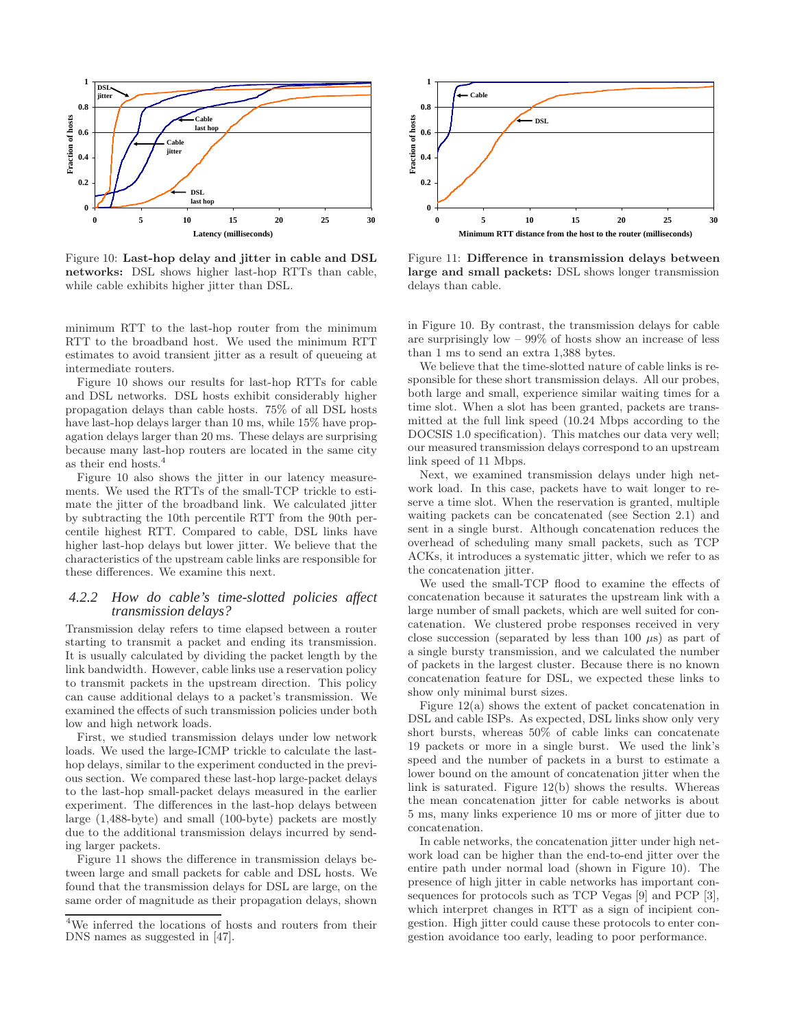

Figure 10: Last-hop delay and jitter in cable and DSL networks: DSL shows higher last-hop RTTs than cable, while cable exhibits higher jitter than DSL.

minimum RTT to the last-hop router from the minimum RTT to the broadband host. We used the minimum RTT estimates to avoid transient jitter as a result of queueing at intermediate routers.

Figure 10 shows our results for last-hop RTTs for cable and DSL networks. DSL hosts exhibit considerably higher propagation delays than cable hosts. 75% of all DSL hosts have last-hop delays larger than 10 ms, while  $15\%$  have propagation delays larger than 20 ms. These delays are surprising because many last-hop routers are located in the same city as their end hosts.<sup>4</sup>

Figure 10 also shows the jitter in our latency measurements. We used the RTTs of the small-TCP trickle to estimate the jitter of the broadband link. We calculated jitter by subtracting the 10th percentile RTT from the 90th percentile highest RTT. Compared to cable, DSL links have higher last-hop delays but lower jitter. We believe that the characteristics of the upstream cable links are responsible for these differences. We examine this next.

#### *4.2.2 How do cable's time-slotted policies affect transmission delays?*

Transmission delay refers to time elapsed between a router starting to transmit a packet and ending its transmission. It is usually calculated by dividing the packet length by the link bandwidth. However, cable links use a reservation policy to transmit packets in the upstream direction. This policy can cause additional delays to a packet's transmission. We examined the effects of such transmission policies under both low and high network loads.

First, we studied transmission delays under low network loads. We used the large-ICMP trickle to calculate the lasthop delays, similar to the experiment conducted in the previous section. We compared these last-hop large-packet delays to the last-hop small-packet delays measured in the earlier experiment. The differences in the last-hop delays between large (1,488-byte) and small (100-byte) packets are mostly due to the additional transmission delays incurred by sending larger packets.

Figure 11 shows the difference in transmission delays between large and small packets for cable and DSL hosts. We found that the transmission delays for DSL are large, on the same order of magnitude as their propagation delays, shown



Figure 11: Difference in transmission delays between large and small packets: DSL shows longer transmission delays than cable.

in Figure 10. By contrast, the transmission delays for cable are surprisingly low  $-99\%$  of hosts show an increase of less than 1 ms to send an extra 1,388 bytes.

We believe that the time-slotted nature of cable links is responsible for these short transmission delays. All our probes, both large and small, experience similar waiting times for a time slot. When a slot has been granted, packets are transmitted at the full link speed (10.24 Mbps according to the DOCSIS 1.0 specification). This matches our data very well; our measured transmission delays correspond to an upstream link speed of 11 Mbps.

Next, we examined transmission delays under high network load. In this case, packets have to wait longer to reserve a time slot. When the reservation is granted, multiple waiting packets can be concatenated (see Section 2.1) and sent in a single burst. Although concatenation reduces the overhead of scheduling many small packets, such as TCP ACKs, it introduces a systematic jitter, which we refer to as the concatenation jitter.

We used the small-TCP flood to examine the effects of concatenation because it saturates the upstream link with a large number of small packets, which are well suited for concatenation. We clustered probe responses received in very close succession (separated by less than 100  $\mu$ s) as part of a single bursty transmission, and we calculated the number of packets in the largest cluster. Because there is no known concatenation feature for DSL, we expected these links to show only minimal burst sizes.

Figure 12(a) shows the extent of packet concatenation in DSL and cable ISPs. As expected, DSL links show only very short bursts, whereas 50% of cable links can concatenate 19 packets or more in a single burst. We used the link's speed and the number of packets in a burst to estimate a lower bound on the amount of concatenation jitter when the link is saturated. Figure 12(b) shows the results. Whereas the mean concatenation jitter for cable networks is about 5 ms, many links experience 10 ms or more of jitter due to concatenation.

In cable networks, the concatenation jitter under high network load can be higher than the end-to-end jitter over the entire path under normal load (shown in Figure 10). The presence of high jitter in cable networks has important consequences for protocols such as TCP Vegas [9] and PCP [3], which interpret changes in RTT as a sign of incipient congestion. High jitter could cause these protocols to enter congestion avoidance too early, leading to poor performance.

 ${}^{4}{\rm We}$  inferred the locations of hosts and routers from their DNS names as suggested in [47].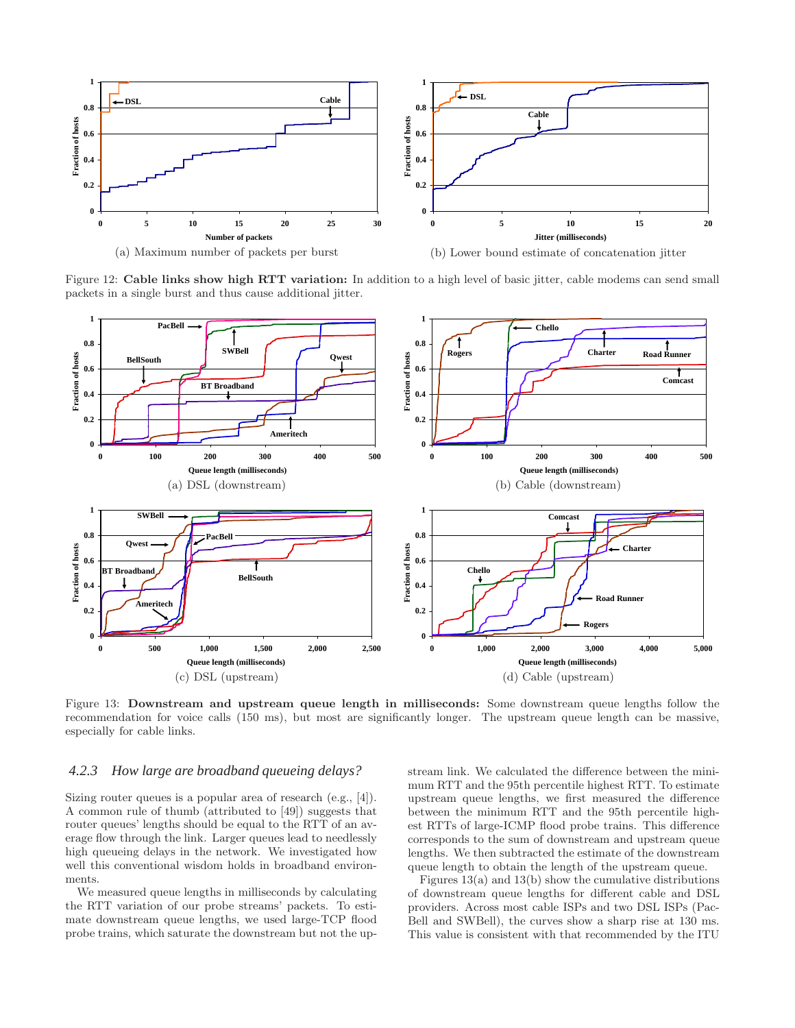

Figure 12: Cable links show high RTT variation: In addition to a high level of basic jitter, cable modems can send small packets in a single burst and thus cause additional jitter.



Figure 13: Downstream and upstream queue length in milliseconds: Some downstream queue lengths follow the recommendation for voice calls (150 ms), but most are significantly longer. The upstream queue length can be massive, especially for cable links.

#### *4.2.3 How large are broadband queueing delays?*

Sizing router queues is a popular area of research (e.g., [4]). A common rule of thumb (attributed to [49]) suggests that router queues' lengths should be equal to the RTT of an average flow through the link. Larger queues lead to needlessly high queueing delays in the network. We investigated how well this conventional wisdom holds in broadband environments.

We measured queue lengths in milliseconds by calculating the RTT variation of our probe streams' packets. To estimate downstream queue lengths, we used large-TCP flood probe trains, which saturate the downstream but not the upstream link. We calculated the difference between the minimum RTT and the 95th percentile highest RTT. To estimate upstream queue lengths, we first measured the difference between the minimum RTT and the 95th percentile highest RTTs of large-ICMP flood probe trains. This difference corresponds to the sum of downstream and upstream queue lengths. We then subtracted the estimate of the downstream queue length to obtain the length of the upstream queue.

Figures  $13(a)$  and  $13(b)$  show the cumulative distributions of downstream queue lengths for different cable and DSL providers. Across most cable ISPs and two DSL ISPs (Pac-Bell and SWBell), the curves show a sharp rise at 130 ms. This value is consistent with that recommended by the ITU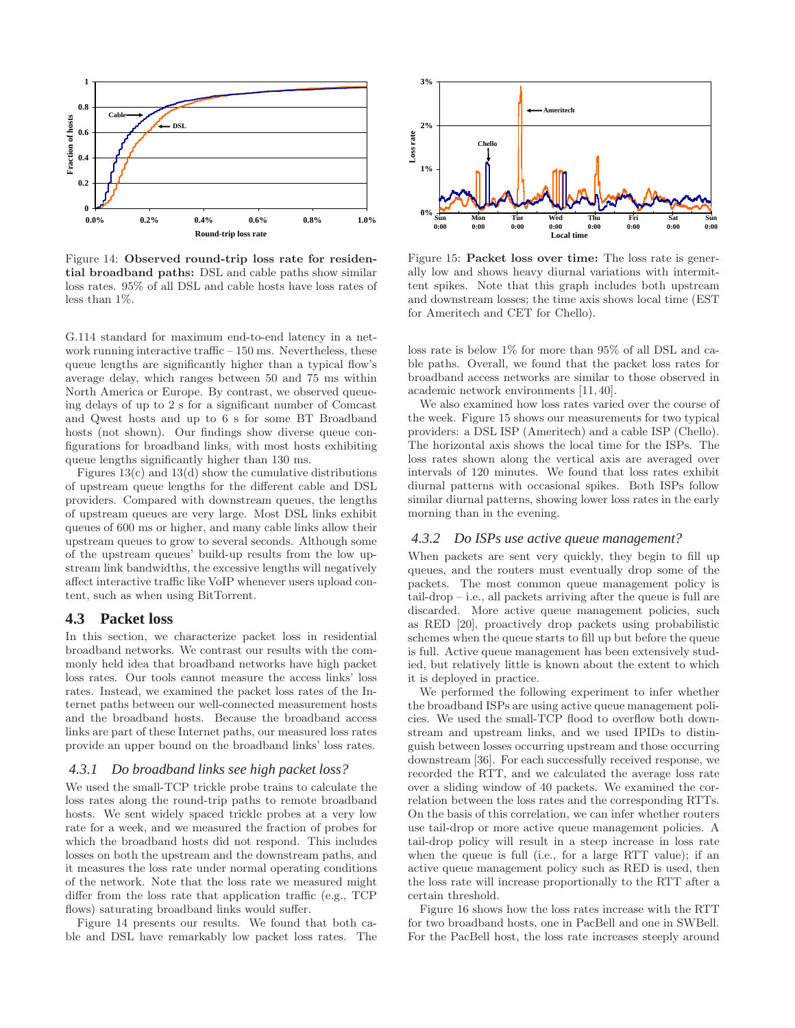

Figure 14: Observed round-trip loss rate for residential broadband paths: DSL and cable paths show similar loss rates. 95% of all DSL and cable hosts have loss rates of less than 1%.

G.114 standard for maximum end-to-end latency in a network running interactive traffic – 150 ms. Nevertheless, these queue lengths are significantly higher than a typical flow's average delay, which ranges between 50 and 75 ms within North America or Europe. By contrast, we observed queueing delays of up to 2 s for a significant number of Comcast and Qwest hosts and up to 6 s for some BT Broadband hosts (not shown). Our findings show diverse queue configurations for broadband links, with most hosts exhibiting queue lengths significantly higher than 130 ms.

Figures  $13(c)$  and  $13(d)$  show the cumulative distributions of upstream queue lengths for the different cable and DSL providers. Compared with downstream queues, the lengths of upstream queues are very large. Most DSL links exhibit queues of 600 ms or higher, and many cable links allow their upstream queues to grow to several seconds. Although some of the upstream queues' build-up results from the low upstream link bandwidths, the excessive lengths will negatively affect interactive traffic like VoIP whenever users upload content, such as when using BitTorrent.

#### **4.3 Packet loss**

In this section, we characterize packet loss in residential broadband networks. We contrast our results with the commonly held idea that broadband networks have high packet loss rates. Our tools cannot measure the access links' loss rates. Instead, we examined the packet loss rates of the Internet paths between our well-connected measurement hosts and the broadband hosts. Because the broadband access links are part of these Internet paths, our measured loss rates provide an upper bound on the broadband links' loss rates.

#### *4.3.1 Do broadband links see high packet loss?*

We used the small-TCP trickle probe trains to calculate the loss rates along the round-trip paths to remote broadband hosts. We sent widely spaced trickle probes at a very low rate for a week, and we measured the fraction of probes for which the broadband hosts did not respond. This includes losses on both the upstream and the downstream paths, and it measures the loss rate under normal operating conditions of the network. Note that the loss rate we measured might differ from the loss rate that application traffic (e.g., TCP flows) saturating broadband links would suffer.

Figure 14 presents our results. We found that both cable and DSL have remarkably low packet loss rates. The



Figure 15: Packet loss over time: The loss rate is generally low and shows heavy diurnal variations with intermittent spikes. Note that this graph includes both upstream and downstream losses; the time axis shows local time (EST for Ameritech and CET for Chello).

loss rate is below 1% for more than 95% of all DSL and cable paths. Overall, we found that the packet loss rates for broadband access networks are similar to those observed in academic network environments [11, 40].

We also examined how loss rates varied over the course of the week. Figure 15 shows our measurements for two typical providers: a DSL ISP (Ameritech) and a cable ISP (Chello). The horizontal axis shows the local time for the ISPs. The loss rates shown along the vertical axis are averaged over intervals of 120 minutes. We found that loss rates exhibit diurnal patterns with occasional spikes. Both ISPs follow similar diurnal patterns, showing lower loss rates in the early morning than in the evening.

# *4.3.2 Do ISPs use active queue management?*

When packets are sent very quickly, they begin to fill up queues, and the routers must eventually drop some of the packets. The most common queue management policy is tail-drop – i.e., all packets arriving after the queue is full are discarded. More active queue management policies, such as RED [20], proactively drop packets using probabilistic schemes when the queue starts to fill up but before the queue is full. Active queue management has been extensively studied, but relatively little is known about the extent to which it is deployed in practice.

We performed the following experiment to infer whether the broadband ISPs are using active queue management policies. We used the small-TCP flood to overflow both downstream and upstream links, and we used IPIDs to distinguish between losses occurring upstream and those occurring downstream [36]. For each successfully received response, we recorded the RTT, and we calculated the average loss rate over a sliding window of 40 packets. We examined the correlation between the loss rates and the corresponding RTTs. On the basis of this correlation, we can infer whether routers use tail-drop or more active queue management policies. A tail-drop policy will result in a steep increase in loss rate when the queue is full (i.e., for a large RTT value); if an active queue management policy such as RED is used, then the loss rate will increase proportionally to the RTT after a certain threshold.

Figure 16 shows how the loss rates increase with the RTT for two broadband hosts, one in PacBell and one in SWBell. For the PacBell host, the loss rate increases steeply around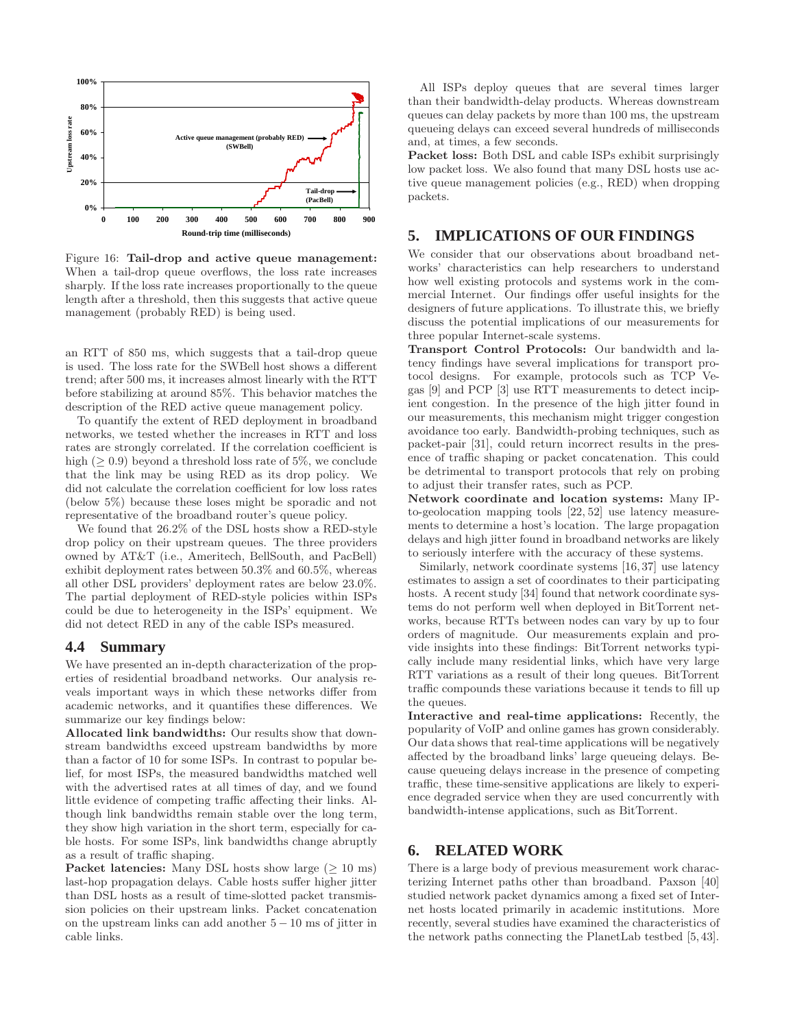

Figure 16: Tail-drop and active queue management: When a tail-drop queue overflows, the loss rate increases sharply. If the loss rate increases proportionally to the queue length after a threshold, then this suggests that active queue management (probably RED) is being used.

an RTT of 850 ms, which suggests that a tail-drop queue is used. The loss rate for the SWBell host shows a different trend; after 500 ms, it increases almost linearly with the RTT before stabilizing at around 85%. This behavior matches the description of the RED active queue management policy.

To quantify the extent of RED deployment in broadband networks, we tested whether the increases in RTT and loss rates are strongly correlated. If the correlation coefficient is high ( $> 0.9$ ) beyond a threshold loss rate of 5\%, we conclude that the link may be using RED as its drop policy. We did not calculate the correlation coefficient for low loss rates (below 5%) because these loses might be sporadic and not representative of the broadband router's queue policy.

We found that 26.2% of the DSL hosts show a RED-style drop policy on their upstream queues. The three providers owned by AT&T (i.e., Ameritech, BellSouth, and PacBell) exhibit deployment rates between 50.3% and 60.5%, whereas all other DSL providers' deployment rates are below 23.0%. The partial deployment of RED-style policies within ISPs could be due to heterogeneity in the ISPs' equipment. We did not detect RED in any of the cable ISPs measured.

#### **4.4 Summary**

We have presented an in-depth characterization of the properties of residential broadband networks. Our analysis reveals important ways in which these networks differ from academic networks, and it quantifies these differences. We summarize our key findings below:

Allocated link bandwidths: Our results show that downstream bandwidths exceed upstream bandwidths by more than a factor of 10 for some ISPs. In contrast to popular belief, for most ISPs, the measured bandwidths matched well with the advertised rates at all times of day, and we found little evidence of competing traffic affecting their links. Although link bandwidths remain stable over the long term, they show high variation in the short term, especially for cable hosts. For some ISPs, link bandwidths change abruptly as a result of traffic shaping.

Packet latencies: Many DSL hosts show large ( $\geq 10$  ms) last-hop propagation delays. Cable hosts suffer higher jitter than DSL hosts as a result of time-slotted packet transmission policies on their upstream links. Packet concatenation on the upstream links can add another 5 − 10 ms of jitter in cable links.

All ISPs deploy queues that are several times larger than their bandwidth-delay products. Whereas downstream queues can delay packets by more than 100 ms, the upstream queueing delays can exceed several hundreds of milliseconds and, at times, a few seconds.

Packet loss: Both DSL and cable ISPs exhibit surprisingly low packet loss. We also found that many DSL hosts use active queue management policies (e.g., RED) when dropping packets.

# **5. IMPLICATIONS OF OUR FINDINGS**

We consider that our observations about broadband networks' characteristics can help researchers to understand how well existing protocols and systems work in the commercial Internet. Our findings offer useful insights for the designers of future applications. To illustrate this, we briefly discuss the potential implications of our measurements for three popular Internet-scale systems.

Transport Control Protocols: Our bandwidth and latency findings have several implications for transport protocol designs. For example, protocols such as TCP Vegas [9] and PCP [3] use RTT measurements to detect incipient congestion. In the presence of the high jitter found in our measurements, this mechanism might trigger congestion avoidance too early. Bandwidth-probing techniques, such as packet-pair [31], could return incorrect results in the presence of traffic shaping or packet concatenation. This could be detrimental to transport protocols that rely on probing to adjust their transfer rates, such as PCP.

Network coordinate and location systems: Many IPto-geolocation mapping tools [22, 52] use latency measurements to determine a host's location. The large propagation delays and high jitter found in broadband networks are likely to seriously interfere with the accuracy of these systems.

Similarly, network coordinate systems [16, 37] use latency estimates to assign a set of coordinates to their participating hosts. A recent study [34] found that network coordinate systems do not perform well when deployed in BitTorrent networks, because RTTs between nodes can vary by up to four orders of magnitude. Our measurements explain and provide insights into these findings: BitTorrent networks typically include many residential links, which have very large RTT variations as a result of their long queues. BitTorrent traffic compounds these variations because it tends to fill up the queues.

Interactive and real-time applications: Recently, the popularity of VoIP and online games has grown considerably. Our data shows that real-time applications will be negatively affected by the broadband links' large queueing delays. Because queueing delays increase in the presence of competing traffic, these time-sensitive applications are likely to experience degraded service when they are used concurrently with bandwidth-intense applications, such as BitTorrent.

# **6. RELATED WORK**

There is a large body of previous measurement work characterizing Internet paths other than broadband. Paxson [40] studied network packet dynamics among a fixed set of Internet hosts located primarily in academic institutions. More recently, several studies have examined the characteristics of the network paths connecting the PlanetLab testbed [5, 43].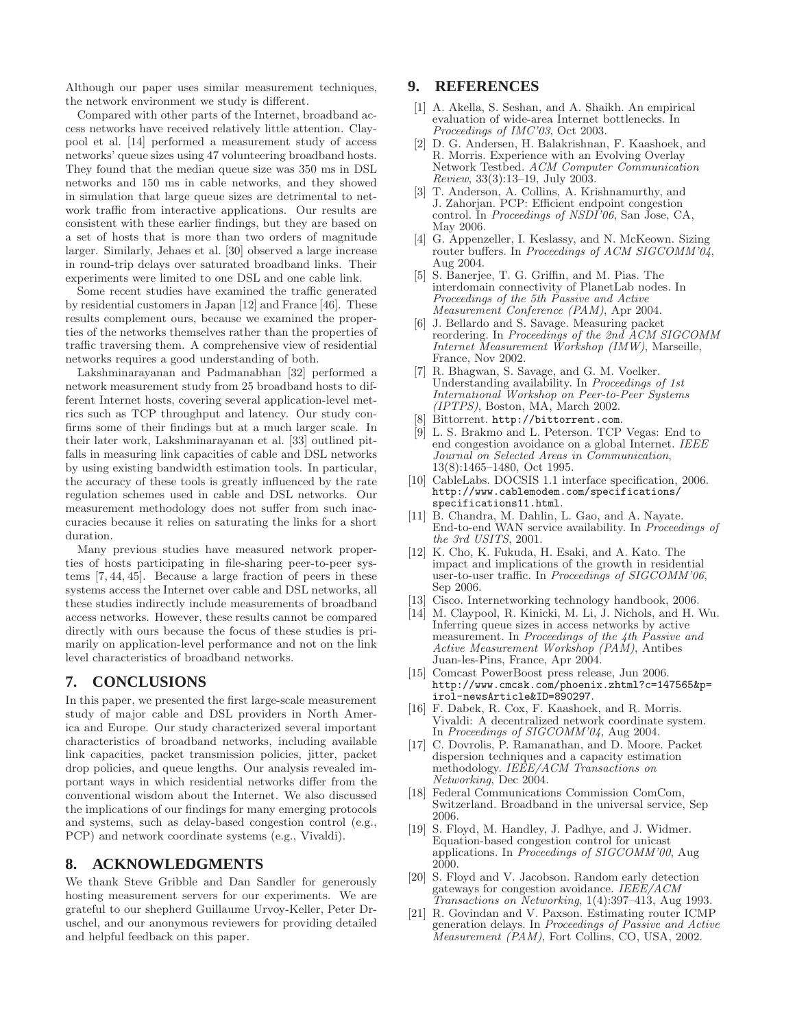Although our paper uses similar measurement techniques, the network environment we study is different.

Compared with other parts of the Internet, broadband access networks have received relatively little attention. Claypool et al. [14] performed a measurement study of access networks' queue sizes using 47 volunteering broadband hosts. They found that the median queue size was 350 ms in DSL networks and 150 ms in cable networks, and they showed in simulation that large queue sizes are detrimental to network traffic from interactive applications. Our results are consistent with these earlier findings, but they are based on a set of hosts that is more than two orders of magnitude larger. Similarly, Jehaes et al. [30] observed a large increase in round-trip delays over saturated broadband links. Their experiments were limited to one DSL and one cable link.

Some recent studies have examined the traffic generated by residential customers in Japan [12] and France [46]. These results complement ours, because we examined the properties of the networks themselves rather than the properties of traffic traversing them. A comprehensive view of residential networks requires a good understanding of both.

Lakshminarayanan and Padmanabhan [32] performed a network measurement study from 25 broadband hosts to different Internet hosts, covering several application-level metrics such as TCP throughput and latency. Our study confirms some of their findings but at a much larger scale. In their later work, Lakshminarayanan et al. [33] outlined pitfalls in measuring link capacities of cable and DSL networks by using existing bandwidth estimation tools. In particular, the accuracy of these tools is greatly influenced by the rate regulation schemes used in cable and DSL networks. Our measurement methodology does not suffer from such inaccuracies because it relies on saturating the links for a short duration.

Many previous studies have measured network properties of hosts participating in file-sharing peer-to-peer systems [7, 44, 45]. Because a large fraction of peers in these systems access the Internet over cable and DSL networks, all these studies indirectly include measurements of broadband access networks. However, these results cannot be compared directly with ours because the focus of these studies is primarily on application-level performance and not on the link level characteristics of broadband networks.

# **7. CONCLUSIONS**

In this paper, we presented the first large-scale measurement study of major cable and DSL providers in North America and Europe. Our study characterized several important characteristics of broadband networks, including available link capacities, packet transmission policies, jitter, packet drop policies, and queue lengths. Our analysis revealed important ways in which residential networks differ from the conventional wisdom about the Internet. We also discussed the implications of our findings for many emerging protocols and systems, such as delay-based congestion control (e.g., PCP) and network coordinate systems (e.g., Vivaldi).

# **8. ACKNOWLEDGMENTS**

We thank Steve Gribble and Dan Sandler for generously hosting measurement servers for our experiments. We are grateful to our shepherd Guillaume Urvoy-Keller, Peter Druschel, and our anonymous reviewers for providing detailed and helpful feedback on this paper.

# **9. REFERENCES**

- [1] A. Akella, S. Seshan, and A. Shaikh. An empirical evaluation of wide-area Internet bottlenecks. In Proceedings of IMC'03, Oct 2003.
- [2] D. G. Andersen, H. Balakrishnan, F. Kaashoek, and R. Morris. Experience with an Evolving Overlay Network Testbed. ACM Computer Communication Review, 33(3):13–19, July 2003.
- [3] T. Anderson, A. Collins, A. Krishnamurthy, and J. Zahorjan. PCP: Efficient endpoint congestion control. In Proceedings of NSDI'06, San Jose, CA, May 2006.
- [4] G. Appenzeller, I. Keslassy, and N. McKeown. Sizing router buffers. In Proceedings of ACM SIGCOMM'04, Aug 2004.
- [5] S. Banerjee, T. G. Griffin, and M. Pias. The interdomain connectivity of PlanetLab nodes. In Proceedings of the 5th Passive and Active Measurement Conference (PAM), Apr 2004.
- [6] J. Bellardo and S. Savage. Measuring packet reordering. In Proceedings of the 2nd ACM SIGCOMM Internet Measurement Workshop (IMW), Marseille, France, Nov 2002.
- [7] R. Bhagwan, S. Savage, and G. M. Voelker. Understanding availability. In Proceedings of 1st International Workshop on Peer-to-Peer Systems (IPTPS), Boston, MA, March 2002.
- [8] Bittorrent. http://bittorrent.com.
- [9] L. S. Brakmo and L. Peterson. TCP Vegas: End to end congestion avoidance on a global Internet. IEEE Journal on Selected Areas in Communication, 13(8):1465–1480, Oct 1995.
- [10] CableLabs. DOCSIS 1.1 interface specification, 2006. http://www.cablemodem.com/specifications/ specifications11.html.
- [11] B. Chandra, M. Dahlin, L. Gao, and A. Nayate. End-to-end WAN service availability. In Proceedings of the 3rd USITS, 2001.
- [12] K. Cho, K. Fukuda, H. Esaki, and A. Kato. The impact and implications of the growth in residential user-to-user traffic. In Proceedings of SIGCOMM'06, Sep 2006.
- [13] Cisco. Internetworking technology handbook, 2006.
- [14] M. Claypool, R. Kinicki, M. Li, J. Nichols, and H. Wu. Inferring queue sizes in access networks by active measurement. In Proceedings of the 4th Passive and Active Measurement Workshop (PAM), Antibes Juan-les-Pins, France, Apr 2004.
- [15] Comcast PowerBoost press release, Jun 2006. http://www.cmcsk.com/phoenix.zhtml?c=147565&p= irol-newsArticle&ID=890297.
- [16] F. Dabek, R. Cox, F. Kaashoek, and R. Morris. Vivaldi: A decentralized network coordinate system. In Proceedings of SIGCOMM'04, Aug 2004.
- [17] C. Dovrolis, P. Ramanathan, and D. Moore. Packet dispersion techniques and a capacity estimation methodology. IEEE/ACM Transactions on Networking, Dec 2004.
- [18] Federal Communications Commission ComCom, Switzerland. Broadband in the universal service, Sep 2006.
- [19] S. Floyd, M. Handley, J. Padhye, and J. Widmer. Equation-based congestion control for unicast applications. In Proceedings of SIGCOMM'00, Aug 2000.
- [20] S. Floyd and V. Jacobson. Random early detection gateways for congestion avoidance.  $IEEE/ACM$ Transactions on Networking, 1(4):397–413, Aug 1993.
- [21] R. Govindan and V. Paxson. Estimating router ICMP generation delays. In Proceedings of Passive and Active Measurement (PAM), Fort Collins, CO, USA, 2002.